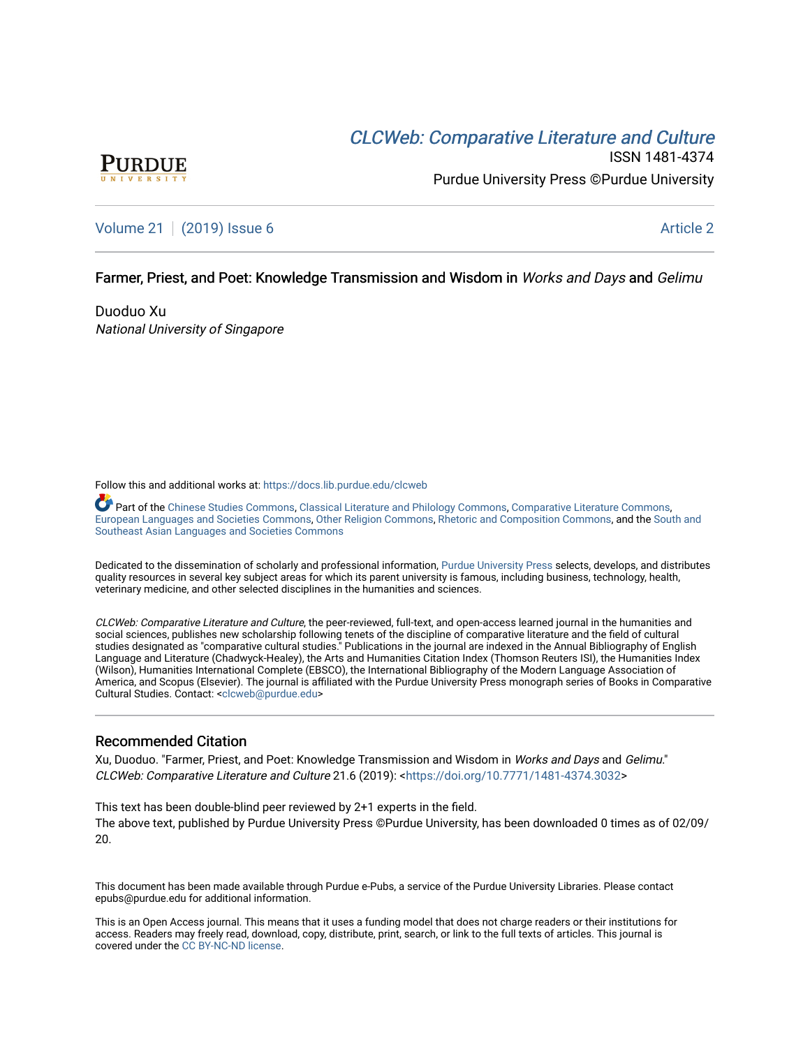# CLCW[eb: Comparative Liter](https://docs.lib.purdue.edu/clcweb)ature and Culture



ISSN 1481-4374 Purdue University Press ©Purdue University

# [Volume 21](https://docs.lib.purdue.edu/clcweb/vol21) | [\(2019\) Issue 6](https://docs.lib.purdue.edu/clcweb/vol21/iss6) Article 2

## Farmer, Priest, and Poet: Knowledge Transmission and Wisdom in Works and Days and Gelimu

Duoduo Xu National University of Singapore

Follow this and additional works at: [https://docs.lib.purdue.edu/clcweb](https://docs.lib.purdue.edu/clcweb?utm_source=docs.lib.purdue.edu%2Fclcweb%2Fvol21%2Fiss6%2F2&utm_medium=PDF&utm_campaign=PDFCoverPages)

Part of the [Chinese Studies Commons,](http://network.bepress.com/hgg/discipline/1081?utm_source=docs.lib.purdue.edu%2Fclcweb%2Fvol21%2Fiss6%2F2&utm_medium=PDF&utm_campaign=PDFCoverPages) [Classical Literature and Philology Commons](http://network.bepress.com/hgg/discipline/451?utm_source=docs.lib.purdue.edu%2Fclcweb%2Fvol21%2Fiss6%2F2&utm_medium=PDF&utm_campaign=PDFCoverPages), [Comparative Literature Commons,](http://network.bepress.com/hgg/discipline/454?utm_source=docs.lib.purdue.edu%2Fclcweb%2Fvol21%2Fiss6%2F2&utm_medium=PDF&utm_campaign=PDFCoverPages) [European Languages and Societies Commons](http://network.bepress.com/hgg/discipline/482?utm_source=docs.lib.purdue.edu%2Fclcweb%2Fvol21%2Fiss6%2F2&utm_medium=PDF&utm_campaign=PDFCoverPages), [Other Religion Commons,](http://network.bepress.com/hgg/discipline/545?utm_source=docs.lib.purdue.edu%2Fclcweb%2Fvol21%2Fiss6%2F2&utm_medium=PDF&utm_campaign=PDFCoverPages) [Rhetoric and Composition Commons](http://network.bepress.com/hgg/discipline/573?utm_source=docs.lib.purdue.edu%2Fclcweb%2Fvol21%2Fiss6%2F2&utm_medium=PDF&utm_campaign=PDFCoverPages), and the [South and](http://network.bepress.com/hgg/discipline/487?utm_source=docs.lib.purdue.edu%2Fclcweb%2Fvol21%2Fiss6%2F2&utm_medium=PDF&utm_campaign=PDFCoverPages) [Southeast Asian Languages and Societies Commons](http://network.bepress.com/hgg/discipline/487?utm_source=docs.lib.purdue.edu%2Fclcweb%2Fvol21%2Fiss6%2F2&utm_medium=PDF&utm_campaign=PDFCoverPages) 

Dedicated to the dissemination of scholarly and professional information, [Purdue University Press](http://www.thepress.purdue.edu/) selects, develops, and distributes quality resources in several key subject areas for which its parent university is famous, including business, technology, health, veterinary medicine, and other selected disciplines in the humanities and sciences.

CLCWeb: Comparative Literature and Culture, the peer-reviewed, full-text, and open-access learned journal in the humanities and social sciences, publishes new scholarship following tenets of the discipline of comparative literature and the field of cultural studies designated as "comparative cultural studies." Publications in the journal are indexed in the Annual Bibliography of English Language and Literature (Chadwyck-Healey), the Arts and Humanities Citation Index (Thomson Reuters ISI), the Humanities Index (Wilson), Humanities International Complete (EBSCO), the International Bibliography of the Modern Language Association of America, and Scopus (Elsevier). The journal is affiliated with the Purdue University Press monograph series of Books in Comparative Cultural Studies. Contact: [<clcweb@purdue.edu](mailto:clcweb@purdue.edu)>

### Recommended Citation

Xu, Duoduo. "Farmer, Priest, and Poet: Knowledge Transmission and Wisdom in Works and Days and Gelimu." CLCWeb: Comparative Literature and Culture 21.6 (2019): <[https://doi.org/10.7771/1481-4374.3032>](https://doi.org/10.7771/1481-4374.3032)

This text has been double-blind peer reviewed by 2+1 experts in the field. The above text, published by Purdue University Press ©Purdue University, has been downloaded 0 times as of 02/09/ 20.

This document has been made available through Purdue e-Pubs, a service of the Purdue University Libraries. Please contact epubs@purdue.edu for additional information.

This is an Open Access journal. This means that it uses a funding model that does not charge readers or their institutions for access. Readers may freely read, download, copy, distribute, print, search, or link to the full texts of articles. This journal is covered under the [CC BY-NC-ND license.](https://creativecommons.org/licenses/by-nc-nd/4.0/)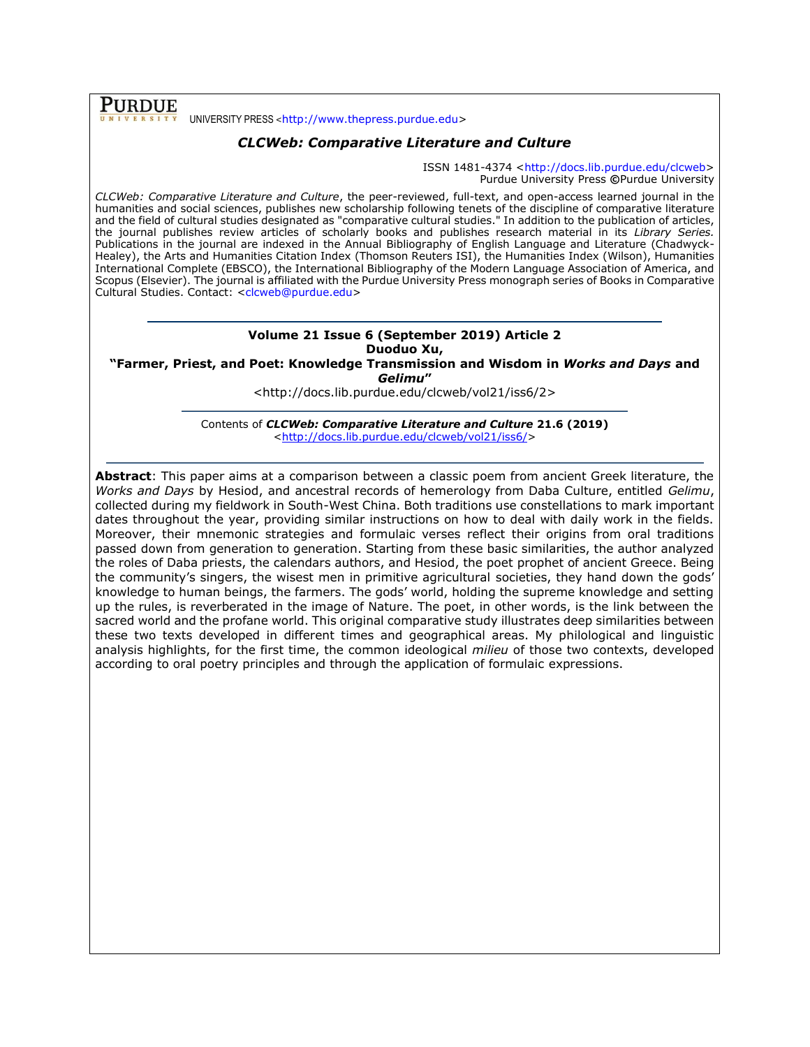**PURDUE** UNIVERSITY PRESS <[http://www.thepress.purdue.edu>](http://www.thepress.purdue.edu/)

# *CLCWeb: Comparative Literature and Culture*

ISSN 1481-4374 [<http://docs.lib.purdue.edu/clcweb>](http://docs.lib.purdue.edu/clcweb) Purdue University Press **©**Purdue University

*CLCWeb: Comparative Literature and Culture*, the peer-reviewed, full-text, and open-access learned journal in the humanities and social sciences, publishes new scholarship following tenets of the discipline of comparative literature and the field of cultural studies designated as "comparative cultural studies." In addition to the publication of articles, the journal publishes review articles of scholarly books and publishes research material in its *Library Series.*  Publications in the journal are indexed in the Annual Bibliography of English Language and Literature (Chadwyck-Healey), the Arts and Humanities Citation Index (Thomson Reuters ISI), the Humanities Index (Wilson), Humanities International Complete (EBSCO), the International Bibliography of the Modern Language Association of America, and Scopus (Elsevier). The journal is affiliated with the Purdue University Press monograph series of Books in Comparative Cultural Studies. Contact: [<clcweb@purdue.edu>](mailto:clcweb@purdue.edu)

### **Volume 21 Issue 6 (September 2019) Article 2 Duoduo Xu,**

**"Farmer, Priest, and Poet: Knowledge Transmission and Wisdom in** *Works and Days* **and**  *Gelimu***"**

<http://docs.lib.purdue.edu/clcweb/vol21/iss6/2>

Contents of *CLCWeb: Comparative Literature and Culture* **21.6 (2019)** [<http://docs.lib.purdue.edu/clcweb/vol21/iss6/>](http://docs.lib.purdue.edu/clcweb/vol21/iss6/)

**Abstract**: This paper aims at a comparison between a classic poem from ancient Greek literature, the *Works and Days* by Hesiod, and ancestral records of hemerology from Daba Culture, entitled *Gelimu*, collected during my fieldwork in South-West China. Both traditions use constellations to mark important dates throughout the year, providing similar instructions on how to deal with daily work in the fields. Moreover, their mnemonic strategies and formulaic verses reflect their origins from oral traditions passed down from generation to generation. Starting from these basic similarities, the author analyzed the roles of Daba priests, the calendars authors, and Hesiod, the poet prophet of ancient Greece. Being the community's singers, the wisest men in primitive agricultural societies, they hand down the gods' knowledge to human beings, the farmers. The gods' world, holding the supreme knowledge and setting up the rules, is reverberated in the image of Nature. The poet, in other words, is the link between the sacred world and the profane world. This original comparative study illustrates deep similarities between these two texts developed in different times and geographical areas. My philological and linguistic analysis highlights, for the first time, the common ideological *milieu* of those two contexts, developed according to oral poetry principles and through the application of formulaic expressions.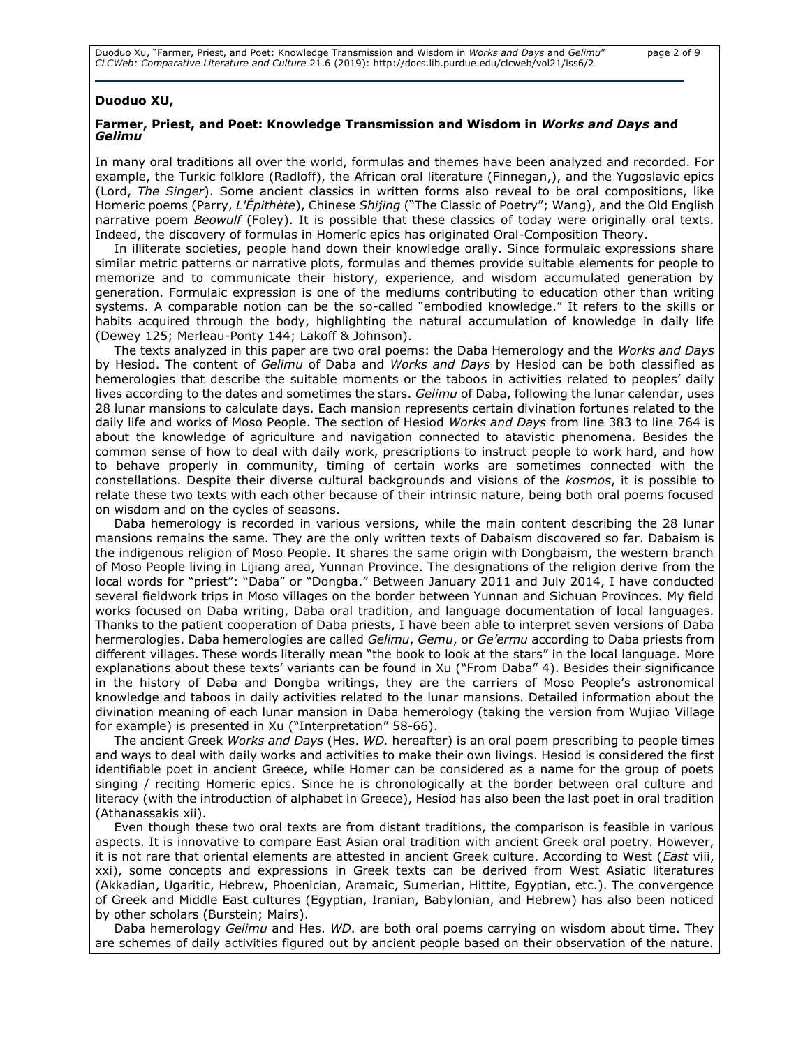#### **Duoduo XU,**

### **Farmer, Priest, and Poet: Knowledge Transmission and Wisdom in** *Works and Days* **and**  *Gelimu*

In many oral traditions all over the world, formulas and themes have been analyzed and recorded. For example, the Turkic folklore (Radloff), the African oral literature (Finnegan,), and the Yugoslavic epics (Lord, *The Singer*). Some ancient classics in written forms also reveal to be oral compositions, like Homeric poems (Parry, *L'Épithète*), Chinese *Shijing* ("The Classic of Poetry"; Wang), and the Old English narrative poem *Beowulf* (Foley). It is possible that these classics of today were originally oral texts. Indeed, the discovery of formulas in Homeric epics has originated Oral-Composition Theory.

In illiterate societies, people hand down their knowledge orally. Since formulaic expressions share similar metric patterns or narrative plots, formulas and themes provide suitable elements for people to memorize and to communicate their history, experience, and wisdom accumulated generation by generation. Formulaic expression is one of the mediums contributing to education other than writing systems. A comparable notion can be the so-called "embodied knowledge." It refers to the skills or habits acquired through the body, highlighting the natural accumulation of knowledge in daily life (Dewey 125; Merleau-Ponty 144; Lakoff & Johnson).

The texts analyzed in this paper are two oral poems: the Daba Hemerology and the *Works and Days* by Hesiod. The content of *Gelimu* of Daba and *Works and Days* by Hesiod can be both classified as hemerologies that describe the suitable moments or the taboos in activities related to peoples' daily lives according to the dates and sometimes the stars. *Gelimu* of Daba, following the lunar calendar, uses 28 lunar mansions to calculate days. Each mansion represents certain divination fortunes related to the daily life and works of Moso People. The section of Hesiod *Works and Days* from line 383 to line 764 is about the knowledge of agriculture and navigation connected to atavistic phenomena. Besides the common sense of how to deal with daily work, prescriptions to instruct people to work hard, and how to behave properly in community, timing of certain works are sometimes connected with the constellations. Despite their diverse cultural backgrounds and visions of the *kosmos*, it is possible to relate these two texts with each other because of their intrinsic nature, being both oral poems focused on wisdom and on the cycles of seasons.

Daba hemerology is recorded in various versions, while the main content describing the 28 lunar mansions remains the same. They are the only written texts of Dabaism discovered so far. Dabaism is the indigenous religion of Moso People. It shares the same origin with Dongbaism, the western branch of Moso People living in Lijiang area, Yunnan Province. The designations of the religion derive from the local words for "priest": "Daba" or "Dongba." Between January 2011 and July 2014, I have conducted several fieldwork trips in Moso villages on the border between Yunnan and Sichuan Provinces. My field works focused on Daba writing, Daba oral tradition, and language documentation of local languages. Thanks to the patient cooperation of Daba priests, I have been able to interpret seven versions of Daba hermerologies. Daba hemerologies are called *Gelimu*, *Gemu*, or *Ge'ermu* according to Daba priests from different villages. These words literally mean "the book to look at the stars" in the local language. More explanations about these texts' variants can be found in Xu ("From Daba" 4). Besides their significance in the history of Daba and Dongba writings, they are the carriers of Moso People's astronomical knowledge and taboos in daily activities related to the lunar mansions. Detailed information about the divination meaning of each lunar mansion in Daba hemerology (taking the version from Wujiao Village for example) is presented in Xu ("Interpretation" 58-66).

The ancient Greek *Works and Days* (Hes. *WD.* hereafter) is an oral poem prescribing to people times and ways to deal with daily works and activities to make their own livings. Hesiod is considered the first identifiable poet in ancient Greece, while Homer can be considered as a name for the group of poets singing / reciting Homeric epics. Since he is chronologically at the border between oral culture and literacy (with the introduction of alphabet in Greece), Hesiod has also been the last poet in oral tradition (Athanassakis xii).

Even though these two oral texts are from distant traditions, the comparison is feasible in various aspects. It is innovative to compare East Asian oral tradition with ancient Greek oral poetry. However, it is not rare that oriental elements are attested in ancient Greek culture. According to West (*East* viii, xxi), some concepts and expressions in Greek texts can be derived from West Asiatic literatures (Akkadian, Ugaritic, Hebrew, Phoenician, Aramaic, Sumerian, Hittite, Egyptian, etc.). The convergence of Greek and Middle East cultures (Egyptian, Iranian, Babylonian, and Hebrew) has also been noticed by other scholars (Burstein; Mairs).

Daba hemerology *Gelimu* and Hes. *WD*. are both oral poems carrying on wisdom about time. They are schemes of daily activities figured out by ancient people based on their observation of the nature.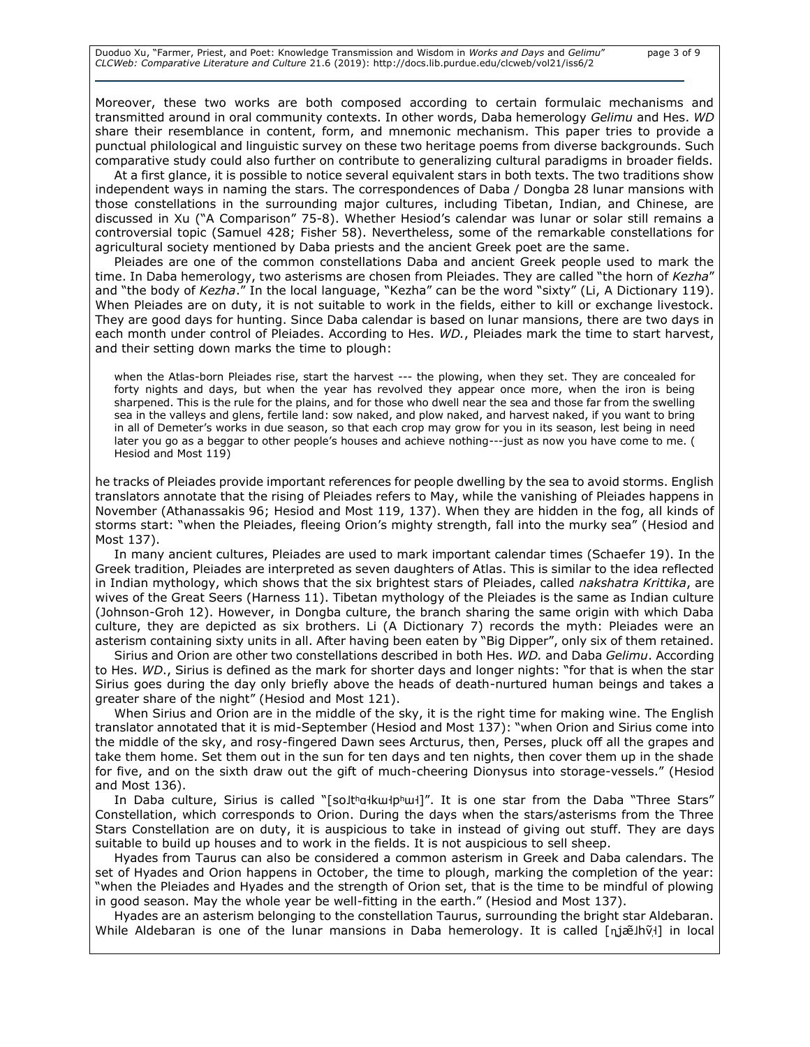Moreover, these two works are both composed according to certain formulaic mechanisms and transmitted around in oral community contexts. In other words, Daba hemerology *Gelimu* and Hes. *WD* share their resemblance in content, form, and mnemonic mechanism. This paper tries to provide a punctual philological and linguistic survey on these two heritage poems from diverse backgrounds. Such comparative study could also further on contribute to generalizing cultural paradigms in broader fields.

At a first glance, it is possible to notice several equivalent stars in both texts. The two traditions show independent ways in naming the stars. The correspondences of Daba / Dongba 28 lunar mansions with those constellations in the surrounding major cultures, including Tibetan, Indian, and Chinese, are discussed in Xu ("A Comparison" 75-8). Whether Hesiod's calendar was lunar or solar still remains a controversial topic (Samuel 428; Fisher 58). Nevertheless, some of the remarkable constellations for agricultural society mentioned by Daba priests and the ancient Greek poet are the same.

Pleiades are one of the common constellations Daba and ancient Greek people used to mark the time. In Daba hemerology, two asterisms are chosen from Pleiades. They are called "the horn of *Kezha*" and "the body of *Kezha*." In the local language, "Kezha" can be the word "sixty" (Li, A Dictionary 119). When Pleiades are on duty, it is not suitable to work in the fields, either to kill or exchange livestock. They are good days for hunting. Since Daba calendar is based on lunar mansions, there are two days in each month under control of Pleiades. According to Hes. *WD.*, Pleiades mark the time to start harvest, and their setting down marks the time to plough:

when the Atlas-born Pleiades rise, start the harvest --- the plowing, when they set. They are concealed for forty nights and days, but when the year has revolved they appear once more, when the iron is being sharpened. This is the rule for the plains, and for those who dwell near the sea and those far from the swelling sea in the valleys and glens, fertile land: sow naked, and plow naked, and harvest naked, if you want to bring in all of Demeter's works in due season, so that each crop may grow for you in its season, lest being in need later you go as a beggar to other people's houses and achieve nothing---just as now you have come to me. ( Hesiod and Most 119)

he tracks of Pleiades provide important references for people dwelling by the sea to avoid storms. English translators annotate that the rising of Pleiades refers to May, while the vanishing of Pleiades happens in November (Athanassakis 96; Hesiod and Most 119, 137). When they are hidden in the fog, all kinds of storms start: "when the Pleiades, fleeing Orion's mighty strength, fall into the murky sea" (Hesiod and Most 137).

In many ancient cultures, Pleiades are used to mark important calendar times (Schaefer 19). In the Greek tradition, Pleiades are interpreted as seven daughters of Atlas. This is similar to the idea reflected in Indian mythology, which shows that the six brightest stars of Pleiades, called *nakshatra Krittika*, are wives of the Great Seers (Harness 11). Tibetan mythology of the Pleiades is the same as Indian culture (Johnson-Groh 12). However, in Dongba culture, the branch sharing the same origin with which Daba culture, they are depicted as six brothers. Li (A Dictionary 7) records the myth: Pleiades were an asterism containing sixty units in all. After having been eaten by "Big Dipper", only six of them retained.

Sirius and Orion are other two constellations described in both Hes. *WD.* and Daba *Gelimu*. According to Hes. *WD*., Sirius is defined as the mark for shorter days and longer nights: "for that is when the star Sirius goes during the day only briefly above the heads of death-nurtured human beings and takes a greater share of the night" (Hesiod and Most 121).

When Sirius and Orion are in the middle of the sky, it is the right time for making wine. The English translator annotated that it is mid-September (Hesiod and Most 137): "when Orion and Sirius come into the middle of the sky, and rosy-fingered Dawn sees Arcturus, then, Perses, pluck off all the grapes and take them home. Set them out in the sun for ten days and ten nights, then cover them up in the shade for five, and on the sixth draw out the gift of much-cheering Dionysus into storage-vessels." (Hesiod and Most 136).

In Daba culture, Sirius is called "[solthalkulphul]". It is one star from the Daba "Three Stars" Constellation, which corresponds to Orion. During the days when the stars/asterisms from the Three Stars Constellation are on duty, it is auspicious to take in instead of giving out stuff. They are days suitable to build up houses and to work in the fields. It is not auspicious to sell sheep.

Hyades from Taurus can also be considered a common asterism in Greek and Daba calendars. The set of Hyades and Orion happens in October, the time to plough, marking the completion of the year: "when the Pleiades and Hyades and the strength of Orion set, that is the time to be mindful of plowing in good season. May the whole year be well-fitting in the earth." (Hesiod and Most 137).

Hyades are an asterism belonging to the constellation Taurus, surrounding the bright star Aldebaran. While Aldebaran is one of the lunar mansions in Daba hemerology. It is called [n̥jæ̃Jhṽ̩] in local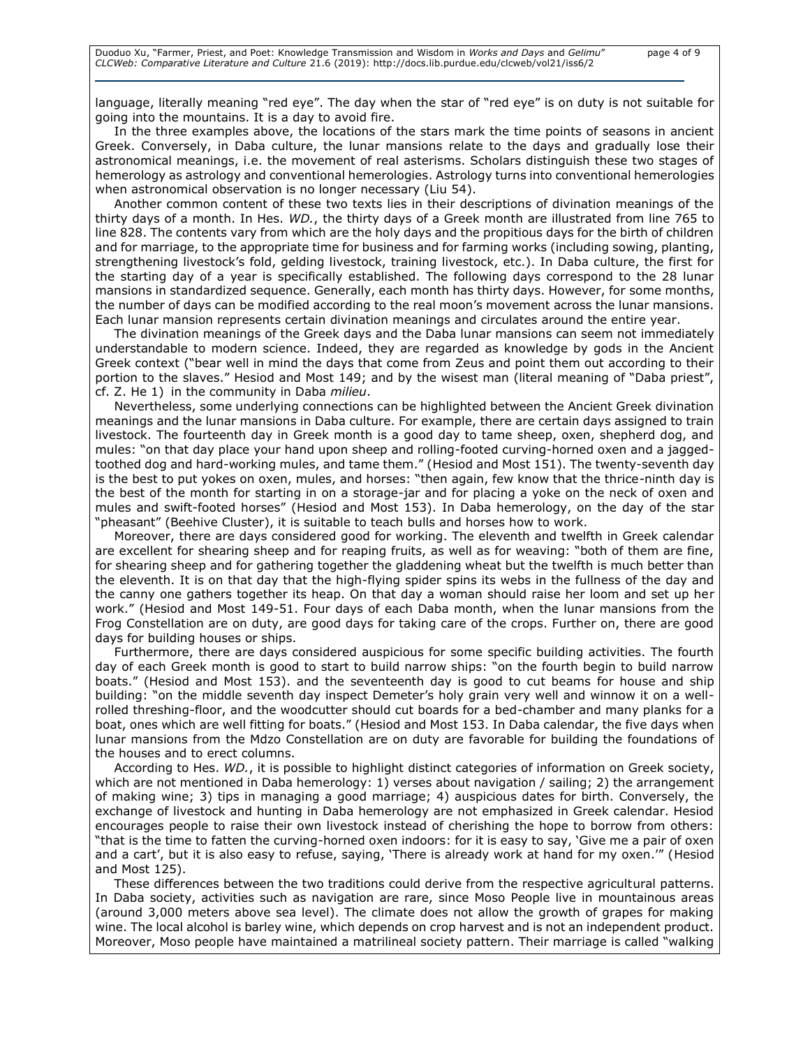language, literally meaning "red eye". The day when the star of "red eye" is on duty is not suitable for going into the mountains. It is a day to avoid fire.

In the three examples above, the locations of the stars mark the time points of seasons in ancient Greek. Conversely, in Daba culture, the lunar mansions relate to the days and gradually lose their astronomical meanings, i.e. the movement of real asterisms. Scholars distinguish these two stages of hemerology as astrology and conventional hemerologies. Astrology turns into conventional hemerologies when astronomical observation is no longer necessary (Liu 54).

Another common content of these two texts lies in their descriptions of divination meanings of the thirty days of a month. In Hes. *WD.*, the thirty days of a Greek month are illustrated from line 765 to line 828. The contents vary from which are the holy days and the propitious days for the birth of children and for marriage, to the appropriate time for business and for farming works (including sowing, planting, strengthening livestock's fold, gelding livestock, training livestock, etc.). In Daba culture, the first for the starting day of a year is specifically established. The following days correspond to the 28 lunar mansions in standardized sequence. Generally, each month has thirty days. However, for some months, the number of days can be modified according to the real moon's movement across the lunar mansions. Each lunar mansion represents certain divination meanings and circulates around the entire year.

The divination meanings of the Greek days and the Daba lunar mansions can seem not immediately understandable to modern science. Indeed, they are regarded as knowledge by gods in the Ancient Greek context ("bear well in mind the days that come from Zeus and point them out according to their portion to the slaves." Hesiod and Most 149; and by the wisest man (literal meaning of "Daba priest", cf. Z. He 1) in the community in Daba *milieu*.

Nevertheless, some underlying connections can be highlighted between the Ancient Greek divination meanings and the lunar mansions in Daba culture. For example, there are certain days assigned to train livestock. The fourteenth day in Greek month is a good day to tame sheep, oxen, shepherd dog, and mules: "on that day place your hand upon sheep and rolling-footed curving-horned oxen and a jaggedtoothed dog and hard-working mules, and tame them." (Hesiod and Most 151). The twenty-seventh day is the best to put yokes on oxen, mules, and horses: "then again, few know that the thrice-ninth day is the best of the month for starting in on a storage-jar and for placing a yoke on the neck of oxen and mules and swift-footed horses" (Hesiod and Most 153). In Daba hemerology, on the day of the star "pheasant" (Beehive Cluster), it is suitable to teach bulls and horses how to work.

Moreover, there are days considered good for working. The eleventh and twelfth in Greek calendar are excellent for shearing sheep and for reaping fruits, as well as for weaving: "both of them are fine, for shearing sheep and for gathering together the gladdening wheat but the twelfth is much better than the eleventh. It is on that day that the high-flying spider spins its webs in the fullness of the day and the canny one gathers together its heap. On that day a woman should raise her loom and set up her work." (Hesiod and Most 149-51. Four days of each Daba month, when the lunar mansions from the Frog Constellation are on duty, are good days for taking care of the crops. Further on, there are good days for building houses or ships.

Furthermore, there are days considered auspicious for some specific building activities. The fourth day of each Greek month is good to start to build narrow ships: "on the fourth begin to build narrow boats." (Hesiod and Most 153). and the seventeenth day is good to cut beams for house and ship building: "on the middle seventh day inspect Demeter's holy grain very well and winnow it on a wellrolled threshing-floor, and the woodcutter should cut boards for a bed-chamber and many planks for a boat, ones which are well fitting for boats." (Hesiod and Most 153. In Daba calendar, the five days when lunar mansions from the Mdzo Constellation are on duty are favorable for building the foundations of the houses and to erect columns.

According to Hes. *WD.*, it is possible to highlight distinct categories of information on Greek society, which are not mentioned in Daba hemerology: 1) verses about navigation / sailing; 2) the arrangement of making wine; 3) tips in managing a good marriage; 4) auspicious dates for birth. Conversely, the exchange of livestock and hunting in Daba hemerology are not emphasized in Greek calendar. Hesiod encourages people to raise their own livestock instead of cherishing the hope to borrow from others: "that is the time to fatten the curving-horned oxen indoors: for it is easy to say, 'Give me a pair of oxen and a cart', but it is also easy to refuse, saying, 'There is already work at hand for my oxen.'" (Hesiod and Most 125).

These differences between the two traditions could derive from the respective agricultural patterns. In Daba society, activities such as navigation are rare, since Moso People live in mountainous areas (around 3,000 meters above sea level). The climate does not allow the growth of grapes for making wine. The local alcohol is barley wine, which depends on crop harvest and is not an independent product. Moreover, Moso people have maintained a matrilineal society pattern. Their marriage is called "walking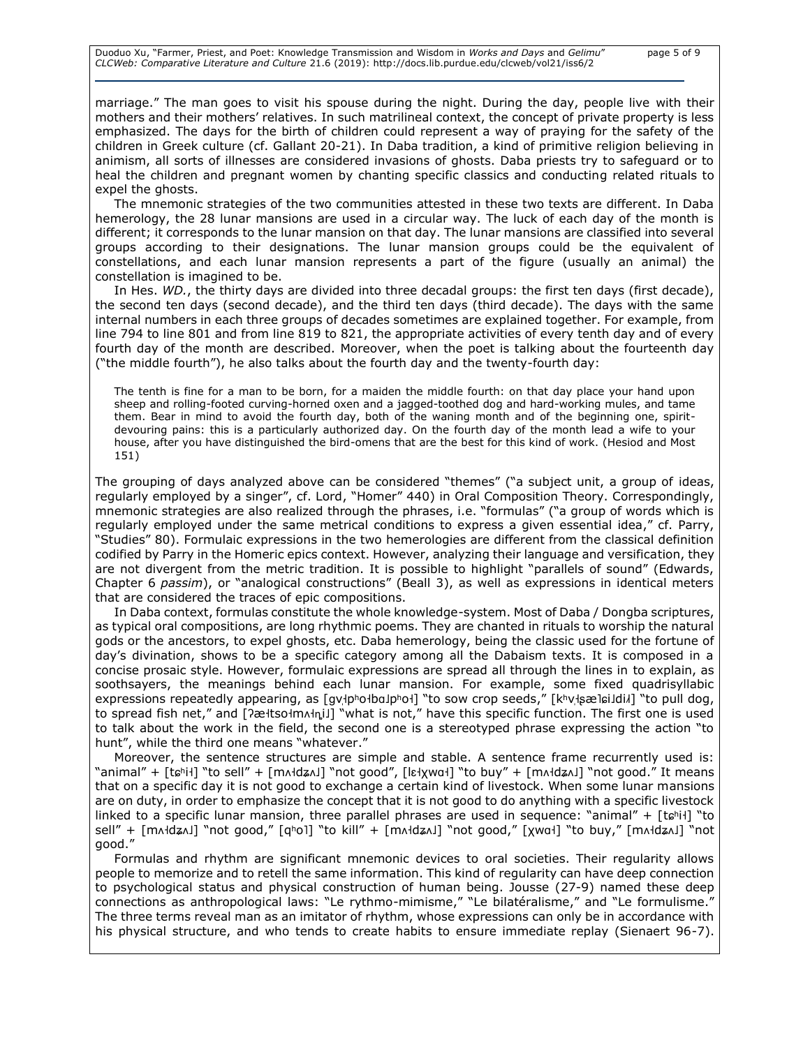marriage." The man goes to visit his spouse during the night. During the day, people live with their mothers and their mothers' relatives. In such matrilineal context, the concept of private property is less emphasized. The days for the birth of children could represent a way of praying for the safety of the children in Greek culture (cf. Gallant 20-21). In Daba tradition, a kind of primitive religion believing in animism, all sorts of illnesses are considered invasions of ghosts. Daba priests try to safeguard or to heal the children and pregnant women by chanting specific classics and conducting related rituals to expel the ghosts.

The mnemonic strategies of the two communities attested in these two texts are different. In Daba hemerology, the 28 lunar mansions are used in a circular way. The luck of each day of the month is different; it corresponds to the lunar mansion on that day. The lunar mansions are classified into several groups according to their designations. The lunar mansion groups could be the equivalent of constellations, and each lunar mansion represents a part of the figure (usually an animal) the constellation is imagined to be.

In Hes. *WD.*, the thirty days are divided into three decadal groups: the first ten days (first decade), the second ten days (second decade), and the third ten days (third decade). The days with the same internal numbers in each three groups of decades sometimes are explained together. For example, from line 794 to line 801 and from line 819 to 821, the appropriate activities of every tenth day and of every fourth day of the month are described. Moreover, when the poet is talking about the fourteenth day ("the middle fourth"), he also talks about the fourth day and the twenty-fourth day:

The tenth is fine for a man to be born, for a maiden the middle fourth: on that day place your hand upon sheep and rolling-footed curving-horned oxen and a jagged-toothed dog and hard-working mules, and tame them. Bear in mind to avoid the fourth day, both of the waning month and of the beginning one, spiritdevouring pains: this is a particularly authorized day. On the fourth day of the month lead a wife to your house, after you have distinguished the bird-omens that are the best for this kind of work. (Hesiod and Most 151)

The grouping of days analyzed above can be considered "themes" ("a subject unit, a group of ideas, regularly employed by a singer", cf. Lord, "Homer" 440) in Oral Composition Theory. Correspondingly, mnemonic strategies are also realized through the phrases, i.e. "formulas" ("a group of words which is regularly employed under the same metrical conditions to express a given essential idea," cf. Parry, "Studies" 80). Formulaic expressions in the two hemerologies are different from the classical definition codified by Parry in the Homeric epics context. However, analyzing their language and versification, they are not divergent from the metric tradition. It is possible to highlight "parallels of sound" (Edwards, Chapter 6 *passim*), or "analogical constructions" (Beall 3), as well as expressions in identical meters that are considered the traces of epic compositions.

In Daba context, formulas constitute the whole knowledge-system. Most of Daba / Dongba scriptures, as typical oral compositions, are long rhythmic poems. They are chanted in rituals to worship the natural gods or the ancestors, to expel ghosts, etc. Daba hemerology, being the classic used for the fortune of day's divination, shows to be a specific category among all the Dabaism texts. It is composed in a concise prosaic style. However, formulaic expressions are spread all through the lines in to explain, as soothsayers, the meanings behind each lunar mansion. For example, some fixed quadrisyllabic expressions repeatedly appearing, as [gv|pholbaJphol] "to sow crop seeds," [khv|sælɕiJdil] "to pull dog, to spread fish net," and [ʔæłtsołmʌln̥i]] "what is not," have this specific function. The first one is used to talk about the work in the field, the second one is a stereotyped phrase expressing the action "to hunt", while the third one means "whatever."

Moreover, the sentence structures are simple and stable. A sentence frame recurrently used is: "animal" + [tɕʰi˧] "to sell" + [mʌ˧dʑʌ˩] "not good", [lɛ˧χwɑ˧] "to buy" + [mʌ˧dʑʌ˩] "not good." It means that on a specific day it is not good to exchange a certain kind of livestock. When some lunar mansions are on duty, in order to emphasize the concept that it is not good to do anything with a specific livestock linked to a specific lunar mansion, three parallel phrases are used in sequence: "animal" + [tɕʰiɬ] "to sell" + [mʌɬdʑʌ]] "not good," [qʰol] "to kill" + [mʌɬdʑʌ]] "not good," [χwɑɬ] "to buy," [mʌɬdʑʌ]] "not good."

Formulas and rhythm are significant mnemonic devices to oral societies. Their regularity allows people to memorize and to retell the same information. This kind of regularity can have deep connection to psychological status and physical construction of human being. Jousse (27-9) named these deep connections as anthropological laws: "Le rythmo-mimisme," "Le bilatéralisme," and "Le formulisme." The three terms reveal man as an imitator of rhythm, whose expressions can only be in accordance with his physical structure, and who tends to create habits to ensure immediate replay (Sienaert 96-7).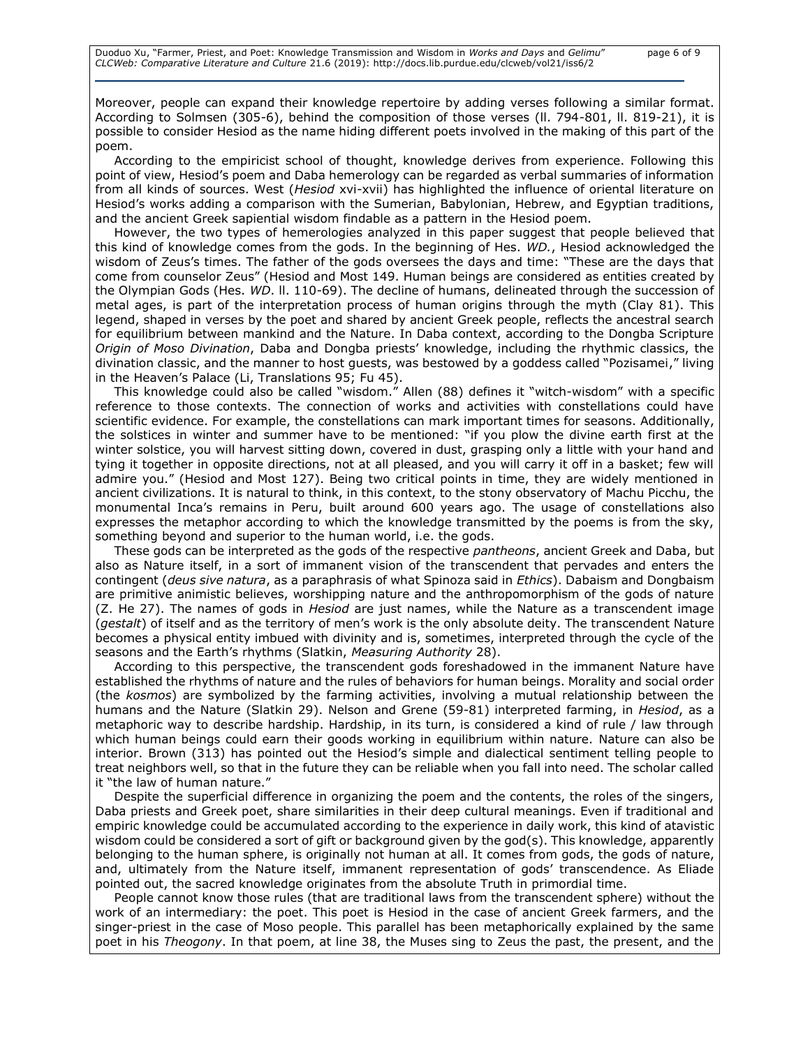Moreover, people can expand their knowledge repertoire by adding verses following a similar format. According to Solmsen (305-6), behind the composition of those verses (ll. 794-801, ll. 819-21), it is possible to consider Hesiod as the name hiding different poets involved in the making of this part of the poem.

According to the empiricist school of thought, knowledge derives from experience. Following this point of view, Hesiod's poem and Daba hemerology can be regarded as verbal summaries of information from all kinds of sources. West (*Hesiod* xvi-xvii) has highlighted the influence of oriental literature on Hesiod's works adding a comparison with the Sumerian, Babylonian, Hebrew, and Egyptian traditions, and the ancient Greek sapiential wisdom findable as a pattern in the Hesiod poem.

However, the two types of hemerologies analyzed in this paper suggest that people believed that this kind of knowledge comes from the gods. In the beginning of Hes. *WD.*, Hesiod acknowledged the wisdom of Zeus's times. The father of the gods oversees the days and time: "These are the days that come from counselor Zeus" (Hesiod and Most 149. Human beings are considered as entities created by the Olympian Gods (Hes. *WD*. ll. 110-69). The decline of humans, delineated through the succession of metal ages, is part of the interpretation process of human origins through the myth (Clay 81). This legend, shaped in verses by the poet and shared by ancient Greek people, reflects the ancestral search for equilibrium between mankind and the Nature. In Daba context, according to the Dongba Scripture *Origin of Moso Divination*, Daba and Dongba priests' knowledge, including the rhythmic classics, the divination classic, and the manner to host guests, was bestowed by a goddess called "Pozisamei," living in the Heaven's Palace (Li, Translations 95; Fu 45).

This knowledge could also be called "wisdom." Allen (88) defines it "witch-wisdom" with a specific reference to those contexts. The connection of works and activities with constellations could have scientific evidence. For example, the constellations can mark important times for seasons. Additionally, the solstices in winter and summer have to be mentioned: "if you plow the divine earth first at the winter solstice, you will harvest sitting down, covered in dust, grasping only a little with your hand and tying it together in opposite directions, not at all pleased, and you will carry it off in a basket; few will admire you." (Hesiod and Most 127). Being two critical points in time, they are widely mentioned in ancient civilizations. It is natural to think, in this context, to the stony observatory of Machu Picchu, the monumental Inca's remains in Peru, built around 600 years ago. The usage of constellations also expresses the metaphor according to which the knowledge transmitted by the poems is from the sky, something beyond and superior to the human world, i.e. the gods.

These gods can be interpreted as the gods of the respective *pantheons*, ancient Greek and Daba, but also as Nature itself, in a sort of immanent vision of the transcendent that pervades and enters the contingent (*deus sive natura*, as a paraphrasis of what Spinoza said in *Ethics*). Dabaism and Dongbaism are primitive animistic believes, worshipping nature and the anthropomorphism of the gods of nature (Z. He 27). The names of gods in *Hesiod* are just names, while the Nature as a transcendent image (*gestalt*) of itself and as the territory of men's work is the only absolute deity. The transcendent Nature becomes a physical entity imbued with divinity and is, sometimes, interpreted through the cycle of the seasons and the Earth's rhythms (Slatkin, *Measuring Authority* 28).

According to this perspective, the transcendent gods foreshadowed in the immanent Nature have established the rhythms of nature and the rules of behaviors for human beings. Morality and social order (the *kosmos*) are symbolized by the farming activities, involving a mutual relationship between the humans and the Nature (Slatkin 29). Nelson and Grene (59-81) interpreted farming, in *Hesiod*, as a metaphoric way to describe hardship. Hardship, in its turn, is considered a kind of rule / law through which human beings could earn their goods working in equilibrium within nature. Nature can also be interior. Brown (313) has pointed out the Hesiod's simple and dialectical sentiment telling people to treat neighbors well, so that in the future they can be reliable when you fall into need. The scholar called it "the law of human nature."

Despite the superficial difference in organizing the poem and the contents, the roles of the singers, Daba priests and Greek poet, share similarities in their deep cultural meanings. Even if traditional and empiric knowledge could be accumulated according to the experience in daily work, this kind of atavistic wisdom could be considered a sort of gift or background given by the god(s). This knowledge, apparently belonging to the human sphere, is originally not human at all. It comes from gods, the gods of nature, and, ultimately from the Nature itself, immanent representation of gods' transcendence. As Eliade pointed out, the sacred knowledge originates from the absolute Truth in primordial time.

People cannot know those rules (that are traditional laws from the transcendent sphere) without the work of an intermediary: the poet. This poet is Hesiod in the case of ancient Greek farmers, and the singer-priest in the case of Moso people. This parallel has been metaphorically explained by the same poet in his *Theogony*. In that poem, at line 38, the Muses sing to Zeus the past, the present, and the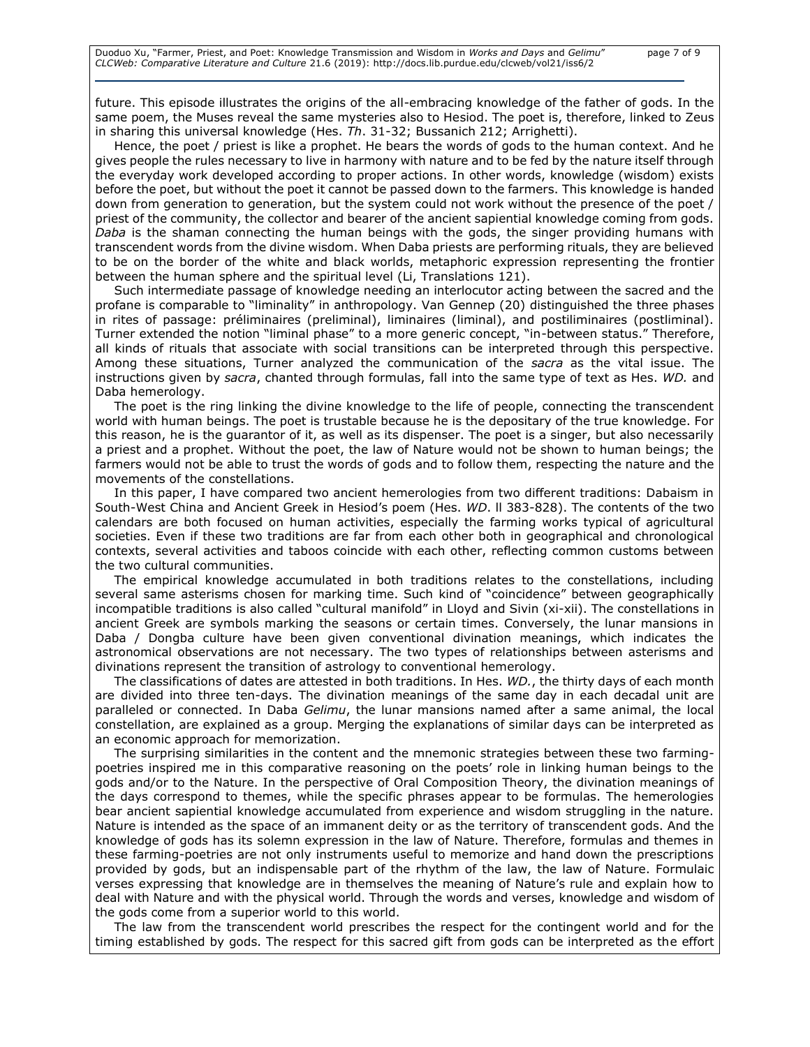future. This episode illustrates the origins of the all-embracing knowledge of the father of gods. In the same poem, the Muses reveal the same mysteries also to Hesiod. The poet is, therefore, linked to Zeus in sharing this universal knowledge (Hes. *Th*. 31-32; Bussanich 212; Arrighetti).

Hence, the poet / priest is like a prophet. He bears the words of gods to the human context. And he gives people the rules necessary to live in harmony with nature and to be fed by the nature itself through the everyday work developed according to proper actions. In other words, knowledge (wisdom) exists before the poet, but without the poet it cannot be passed down to the farmers. This knowledge is handed down from generation to generation, but the system could not work without the presence of the poet / priest of the community, the collector and bearer of the ancient sapiential knowledge coming from gods. *Daba* is the shaman connecting the human beings with the gods, the singer providing humans with transcendent words from the divine wisdom. When Daba priests are performing rituals, they are believed to be on the border of the white and black worlds, metaphoric expression representing the frontier between the human sphere and the spiritual level (Li, Translations 121).

Such intermediate passage of knowledge needing an interlocutor acting between the sacred and the profane is comparable to "liminality" in anthropology. Van Gennep (20) distinguished the three phases in rites of passage: préliminaires (preliminal), liminaires (liminal), and postiliminaires (postliminal). Turner extended the notion "liminal phase" to a more generic concept, "in-between status." Therefore, all kinds of rituals that associate with social transitions can be interpreted through this perspective. Among these situations, Turner analyzed the communication of the *sacra* as the vital issue. The instructions given by *sacra*, chanted through formulas, fall into the same type of text as Hes. *WD.* and Daba hemerology.

The poet is the ring linking the divine knowledge to the life of people, connecting the transcendent world with human beings. The poet is trustable because he is the depositary of the true knowledge. For this reason, he is the guarantor of it, as well as its dispenser. The poet is a singer, but also necessarily a priest and a prophet. Without the poet, the law of Nature would not be shown to human beings; the farmers would not be able to trust the words of gods and to follow them, respecting the nature and the movements of the constellations.

In this paper, I have compared two ancient hemerologies from two different traditions: Dabaism in South-West China and Ancient Greek in Hesiod's poem (Hes. *WD*. ll 383-828). The contents of the two calendars are both focused on human activities, especially the farming works typical of agricultural societies. Even if these two traditions are far from each other both in geographical and chronological contexts, several activities and taboos coincide with each other, reflecting common customs between the two cultural communities.

The empirical knowledge accumulated in both traditions relates to the constellations, including several same asterisms chosen for marking time. Such kind of "coincidence" between geographically incompatible traditions is also called "cultural manifold" in Lloyd and Sivin (xi-xii). The constellations in ancient Greek are symbols marking the seasons or certain times. Conversely, the lunar mansions in Daba / Dongba culture have been given conventional divination meanings, which indicates the astronomical observations are not necessary. The two types of relationships between asterisms and divinations represent the transition of astrology to conventional hemerology.

The classifications of dates are attested in both traditions. In Hes. *WD.*, the thirty days of each month are divided into three ten-days. The divination meanings of the same day in each decadal unit are paralleled or connected. In Daba *Gelimu*, the lunar mansions named after a same animal, the local constellation, are explained as a group. Merging the explanations of similar days can be interpreted as an economic approach for memorization.

The surprising similarities in the content and the mnemonic strategies between these two farmingpoetries inspired me in this comparative reasoning on the poets' role in linking human beings to the gods and/or to the Nature. In the perspective of Oral Composition Theory, the divination meanings of the days correspond to themes, while the specific phrases appear to be formulas. The hemerologies bear ancient sapiential knowledge accumulated from experience and wisdom struggling in the nature. Nature is intended as the space of an immanent deity or as the territory of transcendent gods. And the knowledge of gods has its solemn expression in the law of Nature. Therefore, formulas and themes in these farming-poetries are not only instruments useful to memorize and hand down the prescriptions provided by gods, but an indispensable part of the rhythm of the law, the law of Nature. Formulaic verses expressing that knowledge are in themselves the meaning of Nature's rule and explain how to deal with Nature and with the physical world. Through the words and verses, knowledge and wisdom of the gods come from a superior world to this world.

The law from the transcendent world prescribes the respect for the contingent world and for the timing established by gods. The respect for this sacred gift from gods can be interpreted as the effort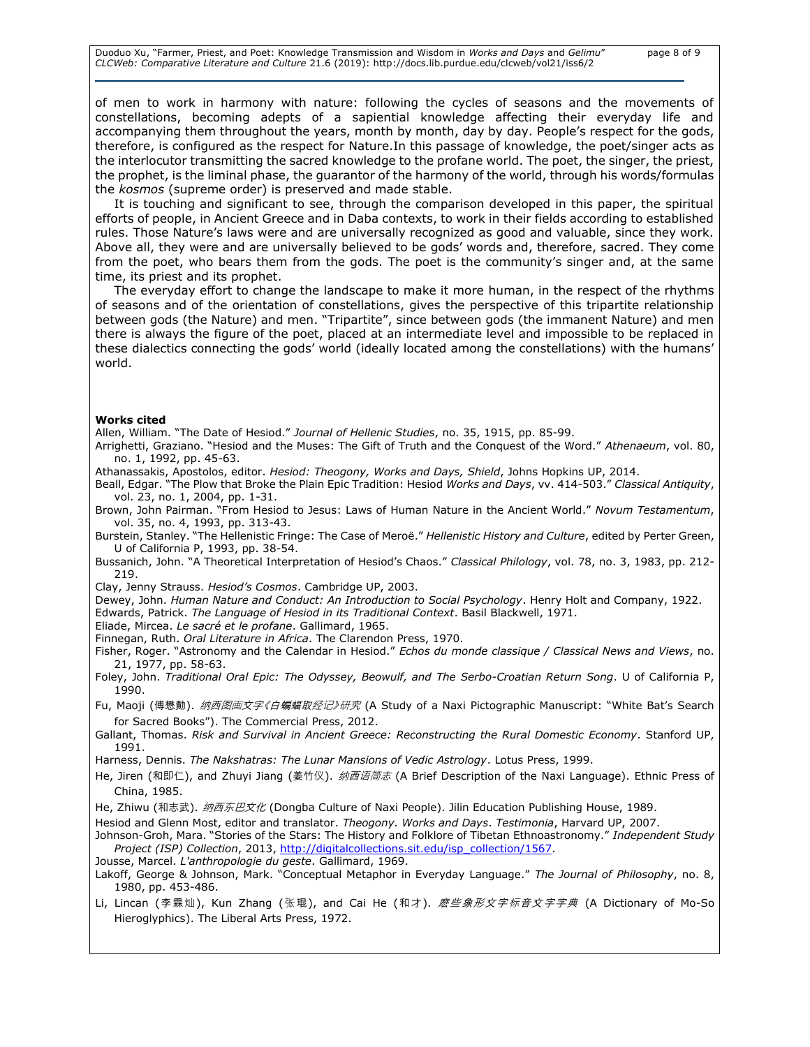Duoduo Xu, "Farmer, Priest, and Poet: Knowledge Transmission and Wisdom in *Works and Days* and *Gelimu*" page 8 of 9 *CLCWeb: Comparative Literature and Culture* 21.6 (2019): http://docs.lib.purdue.edu/clcweb/vol21/iss6/2

of men to work in harmony with nature: following the cycles of seasons and the movements of constellations, becoming adepts of a sapiential knowledge affecting their everyday life and accompanying them throughout the years, month by month, day by day. People's respect for the gods, therefore, is configured as the respect for Nature.In this passage of knowledge, the poet/singer acts as the interlocutor transmitting the sacred knowledge to the profane world. The poet, the singer, the priest, the prophet, is the liminal phase, the guarantor of the harmony of the world, through his words/formulas the *kosmos* (supreme order) is preserved and made stable.

It is touching and significant to see, through the comparison developed in this paper, the spiritual efforts of people, in Ancient Greece and in Daba contexts, to work in their fields according to established rules. Those Nature's laws were and are universally recognized as good and valuable, since they work. Above all, they were and are universally believed to be gods' words and, therefore, sacred. They come from the poet, who bears them from the gods. The poet is the community's singer and, at the same time, its priest and its prophet.

The everyday effort to change the landscape to make it more human, in the respect of the rhythms of seasons and of the orientation of constellations, gives the perspective of this tripartite relationship between gods (the Nature) and men. "Tripartite", since between gods (the immanent Nature) and men there is always the figure of the poet, placed at an intermediate level and impossible to be replaced in these dialectics connecting the gods' world (ideally located among the constellations) with the humans' world.

#### **Works cited**

Allen, William. "The Date of Hesiod." *Journal of Hellenic Studies*, no. 35, 1915, pp. 85-99.

Arrighetti, Graziano. "Hesiod and the Muses: The Gift of Truth and the Conquest of the Word." *Athenaeum*, vol. 80, no. 1, 1992, pp. 45-63.

Athanassakis, Apostolos, editor. *Hesiod: Theogony, Works and Days, Shield*, Johns Hopkins UP, 2014.

Beall, Edgar. "The Plow that Broke the Plain Epic Tradition: Hesiod *Works and Days*, vv. 414-503." *Classical Antiquity*, vol. 23, no. 1, 2004, pp. 1-31.

Brown, John Pairman. "From Hesiod to Jesus: Laws of Human Nature in the Ancient World." *Novum Testamentum*, vol. 35, no. 4, 1993, pp. 313-43.

Burstein, Stanley. "The Hellenistic Fringe: The Case of Meroë." *Hellenistic History and Culture*, edited by Perter Green, U of California P, 1993, pp. 38-54.

Bussanich, John. "A Theoretical Interpretation of Hesiod's Chaos." *Classical Philology*, vol. 78, no. 3, 1983, pp. 212- 219.

Clay, Jenny Strauss. *Hesiod's Cosmos*. Cambridge UP, 2003.

Dewey, John. *Human Nature and Conduct: An Introduction to Social Psychology*. Henry Holt and Company, 1922. Edwards, Patrick. *The Language of Hesiod in its Traditional Context*. Basil Blackwell, 1971.

Eliade, Mircea. *Le sacré et le profane*. Gallimard, 1965.

Finnegan, Ruth. *Oral Literature in Africa*. The Clarendon Press, 1970.

Fisher, Roger. "Astronomy and the Calendar in Hesiod." *Echos du monde classique / Classical News and Views*, no. 21, 1977, pp. 58-63.

Foley, John. *Traditional Oral Epic: The Odyssey, Beowulf, and The Serbo-Croatian Return Song*. U of California P, 1990.

Fu, Maoji (傅懋勣). *纳西图画文字《白蝙蝠取经记》研究* (A Study of a Naxi Pictographic Manuscript: "White Bat's Search for Sacred Books"). The Commercial Press, 2012.

Gallant, Thomas. *Risk and Survival in Ancient Greece: Reconstructing the Rural Domestic Economy*. Stanford UP, 1991.

Harness, Dennis. *The Nakshatras: The Lunar Mansions of Vedic Astrology*. Lotus Press, 1999.

He, Jiren (和即仁), and Zhuyi Jiang (姜竹仪). 纳西语简志 (A Brief Description of the Naxi Language). Ethnic Press of China, 1985.

He, Zhiwu (和志武). 纳西东巴文化 (Dongba Culture of Naxi People). Jilin Education Publishing House, 1989.

Hesiod and Glenn Most, editor and translator. *Theogony. Works and Days*. *Testimonia*, Harvard UP, 2007.

Johnson-Groh, Mara. "Stories of the Stars: The History and Folklore of Tibetan Ethnoastronomy." *Independent Study Project (ISP) Collection*, 2013, [http://digitalcollections.sit.edu/isp\\_collection/1567.](http://digitalcollections.sit.edu/isp_collection/1567)

Jousse, Marcel. *L'anthropologie du geste*. Gallimard, 1969.

Lakoff, George & Johnson, Mark. "Conceptual Metaphor in Everyday Language." *The Journal of Philosophy*, no. 8, 1980, pp. 453-486.

Li, Lincan (李霖灿), Kun Zhang (张琨), and Cai He (和才). *麼些象形文字标音文字字典* (A Dictionary of Mo-So Hieroglyphics). The Liberal Arts Press, 1972.